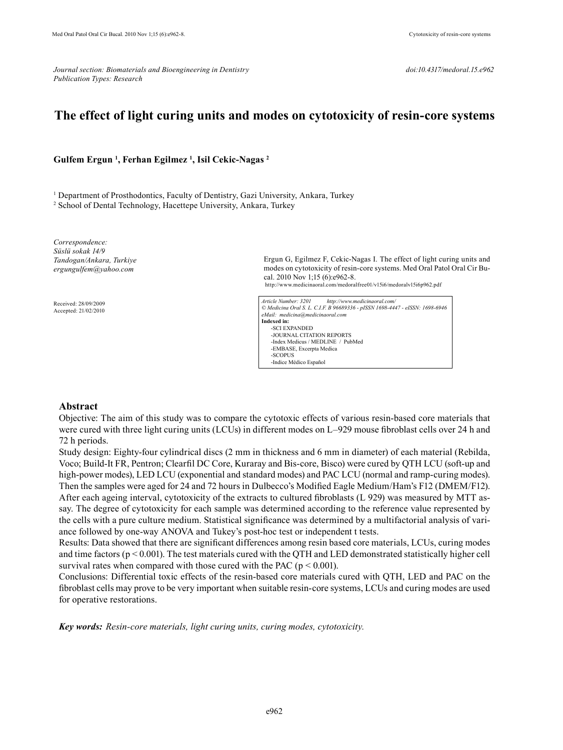*Journal section: Biomaterials and Bioengineering in Dentistry* density doi:10.4317/medoral.15.e962 *Publication Types: Research*

# **The effect of light curing units and modes on cytotoxicity of resin-core systems**

### **Gulfem Ergun 1 , Ferhan Egilmez 1 , Isil Cekic-Nagas 2**

<sup>1</sup> Department of Prosthodontics, Faculty of Dentistry, Gazi University, Ankara, Turkey

2 School of Dental Technology, Hacettepe University, Ankara, Turkey

*Correspondence: Süslü sokak 14/9 Tandogan/Ankara, Turkiye ergungulfem@yahoo.com*

Received: 28/09/2009 Accepted: 21/02/2010

Ergun G, Egilmez F, Cekic-Nagas I. The effect of light curing units and modes on cytotoxicity of resin-core systems. Med Oral Patol Oral Cir Bucal. 2010 Nov 1;15 (6):e962-8. http://www.medicinaoral.com/medoralfree01/v15i6/medoralv15i6p962.pdf

*Article Number: 3201 http://www.medicinaoral.com/ © Medicina Oral S. L. C.I.F. B 96689336 - pISSN 1698-4447 - eISSN: 1698-6946 eMail: medicina@medicinaoral.com*  **Indexed in:**  -SCI EXPANDED -JOURNAL CITATION REPORTS -Index Medicus / MEDLINE / PubMed -EMBASE, Excerpta Medica -SCOPUS -Indice Médico Español

### **Abstract**

Objective: The aim of this study was to compare the cytotoxic effects of various resin-based core materials that were cured with three light curing units (LCUs) in different modes on L–929 mouse fibroblast cells over 24 h and 72 h periods.

Study design: Eighty-four cylindrical discs (2 mm in thickness and 6 mm in diameter) of each material (Rebilda, Voco; Build-It FR, Pentron; Clearfil DC Core, Kuraray and Bis-core, Bisco) were cured by QTH LCU (soft-up and high-power modes), LED LCU (exponential and standard modes) and PAC LCU (normal and ramp-curing modes). Then the samples were aged for 24 and 72 hours in Dulbecco's Modified Eagle Medium/Ham's F12 (DMEM/F12). After each ageing interval, cytotoxicity of the extracts to cultured fibroblasts (L 929) was measured by MTT assay. The degree of cytotoxicity for each sample was determined according to the reference value represented by the cells with a pure culture medium. Statistical significance was determined by a multifactorial analysis of variance followed by one-way ANOVA and Tukey's post-hoc test or independent t tests.

Results: Data showed that there are significant differences among resin based core materials, LCUs, curing modes and time factors ( $p < 0.001$ ). The test materials cured with the QTH and LED demonstrated statistically higher cell survival rates when compared with those cured with the PAC ( $p < 0.001$ ).

Conclusions: Differential toxic effects of the resin-based core materials cured with QTH, LED and PAC on the fibroblast cells may prove to be very important when suitable resin-core systems, LCUs and curing modes are used for operative restorations.

*Key words: Resin-core materials, light curing units, curing modes, cytotoxicity.*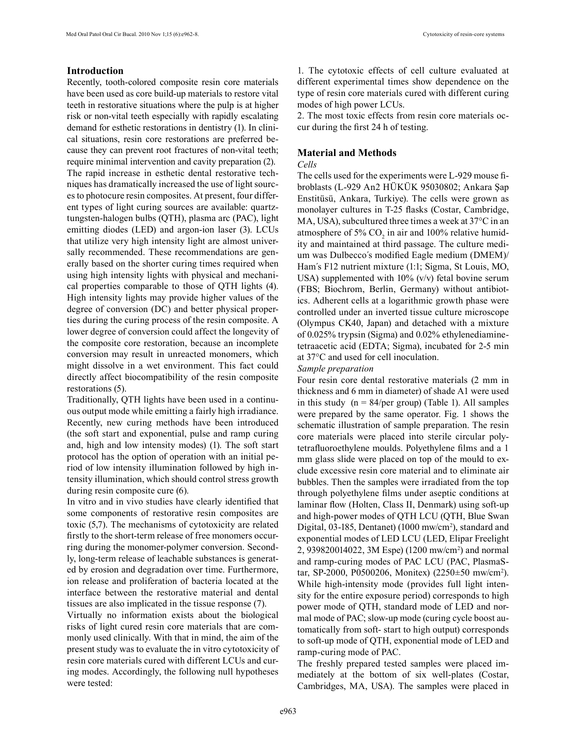# **Introduction**

Recently, tooth-colored composite resin core materials have been used as core build-up materials to restore vital teeth in restorative situations where the pulp is at higher risk or non-vital teeth especially with rapidly escalating demand for esthetic restorations in dentistry (1). In clinical situations, resin core restorations are preferred because they can prevent root fractures of non-vital teeth; require minimal intervention and cavity preparation (2). The rapid increase in esthetic dental restorative techniques has dramatically increased the use of light sources to photocure resin composites. At present, four different types of light curing sources are available: quartztungsten-halogen bulbs (QTH), plasma arc (PAC), light emitting diodes (LED) and argon-ion laser (3). LCUs that utilize very high intensity light are almost universally recommended. These recommendations are generally based on the shorter curing times required when using high intensity lights with physical and mechanical properties comparable to those of QTH lights (4). High intensity lights may provide higher values of the degree of conversion (DC) and better physical properties during the curing process of the resin composite. A lower degree of conversion could affect the longevity of the composite core restoration, because an incomplete conversion may result in unreacted monomers, which might dissolve in a wet environment. This fact could directly affect biocompatibility of the resin composite restorations (5).

Traditionally, QTH lights have been used in a continuous output mode while emitting a fairly high irradiance. Recently, new curing methods have been introduced (the soft start and exponential, pulse and ramp curing and, high and low intensity modes) (1). The soft start protocol has the option of operation with an initial period of low intensity illumination followed by high intensity illumination, which should control stress growth during resin composite cure (6).

In vitro and in vivo studies have clearly identified that some components of restorative resin composites are toxic (5,7). The mechanisms of cytotoxicity are related firstly to the short-term release of free monomers occurring during the monomer-polymer conversion. Secondly, long-term release of leachable substances is generated by erosion and degradation over time. Furthermore, ion release and proliferation of bacteria located at the interface between the restorative material and dental tissues are also implicated in the tissue response (7).

Virtually no information exists about the biological risks of light cured resin core materials that are commonly used clinically. With that in mind, the aim of the present study was to evaluate the in vitro cytotoxicity of resin core materials cured with different LCUs and curing modes. Accordingly, the following null hypotheses were tested:

1. The cytotoxic effects of cell culture evaluated at different experimental times show dependence on the type of resin core materials cured with different curing modes of high power LCUs.

2. The most toxic effects from resin core materials occur during the first 24 h of testing.

### **Material and Methods**

### *Cells*

The cells used for the experiments were L-929 mouse fibroblasts (L-929 An2 HÜKÜK 95030802; Ankara Şap Enstitüsü, Ankara, Turkiye). The cells were grown as monolayer cultures in T-25 flasks (Costar, Cambridge, MA, USA), subcultured three times a week at 37°C in an atmosphere of 5%  $CO_2$  in air and 100% relative humidity and maintained at third passage. The culture medium was Dulbecco´s modified Eagle medium (DMEM)/ Ham´s F12 nutrient mixture (1:1; Sigma, St Louis, MO, USA) supplemented with  $10\%$  (v/v) fetal bovine serum (FBS; Biochrom, Berlin, Germany) without antibiotics. Adherent cells at a logarithmic growth phase were controlled under an inverted tissue culture microscope (Olympus CK40, Japan) and detached with a mixture of 0.025% trypsin (Sigma) and 0.02% ethylenediaminetetraacetic acid (EDTA; Sigma), incubated for 2-5 min at 37°C and used for cell inoculation.

### *Sample preparation*

Four resin core dental restorative materials (2 mm in thickness and 6 mm in diameter) of shade A1 were used in this study  $(n = 84/per \text{ group})$  (Table 1). All samples were prepared by the same operator. Fig. 1 shows the schematic illustration of sample preparation. The resin core materials were placed into sterile circular polytetrafluoroethylene moulds. Polyethylene films and a 1 mm glass slide were placed on top of the mould to exclude excessive resin core material and to eliminate air bubbles. Then the samples were irradiated from the top through polyethylene films under aseptic conditions at laminar flow (Holten, Class II, Denmark) using soft-up and high-power modes of QTH LCU (QTH, Blue Swan Digital, 03-185, Dentanet) (1000 mw/cm<sup>2</sup>), standard and exponential modes of LED LCU (LED, Elipar Freelight 2, 939820014022, 3M Espe) (1200 mw/cm<sup>2</sup> ) and normal and ramp-curing modes of PAC LCU (PAC, PlasmaStar, SP-2000, P0500206, Monitex) (2250±50 mw/cm2 ). While high-intensity mode (provides full light intensity for the entire exposure period) corresponds to high power mode of QTH, standard mode of LED and normal mode of PAC; slow-up mode (curing cycle boost automatically from soft- start to high output) corresponds to soft-up mode of QTH, exponential mode of LED and ramp-curing mode of PAC.

The freshly prepared tested samples were placed immediately at the bottom of six well-plates (Costar, Cambridges, MA, USA). The samples were placed in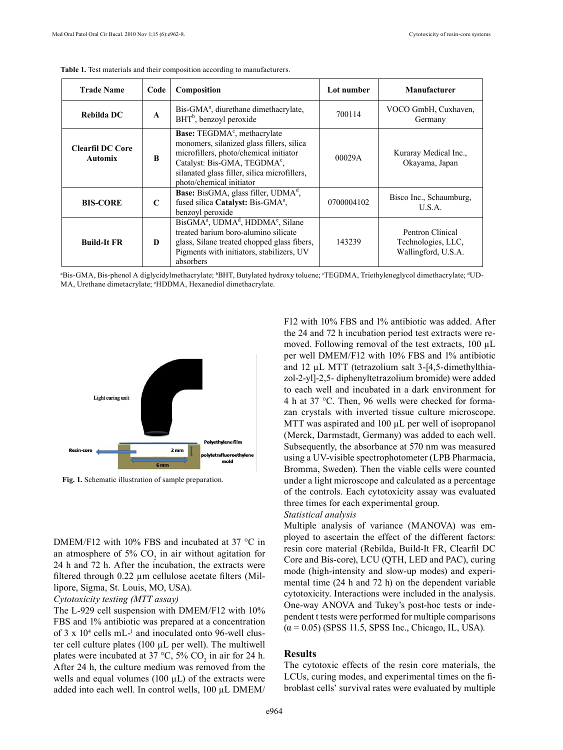| <b>Trade Name</b>                         | Code         | Composition                                                                                                                                                                                                                                             | Lot number | Manufacturer                                                  |  |
|-------------------------------------------|--------------|---------------------------------------------------------------------------------------------------------------------------------------------------------------------------------------------------------------------------------------------------------|------------|---------------------------------------------------------------|--|
| Rebilda DC                                | $\mathbf{A}$ | Bis-GMA <sup>a</sup> , diurethane dimethacrylate,<br>BHT <sup>b</sup> , benzoyl peroxide                                                                                                                                                                | 700114     | VOCO GmbH, Cuxhaven,<br>Germany                               |  |
| <b>Clearfil DC Core</b><br><b>Automix</b> | B            | Base: TEGDMA <sup>c</sup> , methacrylate<br>monomers, silanized glass fillers, silica<br>microfillers, photo/chemical initiator<br>Catalyst: Bis-GMA, TEGDMA <sup>c</sup> ,<br>silanated glass filler, silica microfillers,<br>photo/chemical initiator | 00029A     | Kuraray Medical Inc.,<br>Okayama, Japan                       |  |
| <b>BIS-CORE</b>                           | C            | <b>Base:</b> BisGMA, glass filler, UDMA <sup>d</sup> ,<br>fused silica Catalyst: Bis-GMA <sup>a</sup> ,<br>benzoyl peroxide                                                                                                                             | 0700004102 | Bisco Inc., Schaumburg,<br>U.S.A.                             |  |
| <b>Build-It FR</b>                        | D            | BisGMA <sup>a</sup> , UDMA <sup>d</sup> , HDDMA <sup>e</sup> , Silane<br>treated barium boro-alumino silicate<br>glass, Silane treated chopped glass fibers,<br>Pigments with initiators, stabilizers, UV<br>absorbers                                  | 143239     | Pentron Clinical<br>Technologies, LLC,<br>Wallingford, U.S.A. |  |

**Table 1.** Test materials and their composition according to manufacturers.





**Fig. 1.** Schematic illustration of sample preparation.

DMEM/F12 with 10% FBS and incubated at 37 °C in an atmosphere of 5%  $CO<sub>2</sub>$  in air without agitation for 24 h and 72 h. After the incubation, the extracts were filtered through 0.22 µm cellulose acetate filters (Millipore, Sigma, St. Louis, MO, USA).

#### *Cytotoxicity testing (MTT assay)*

The L-929 cell suspension with DMEM/F12 with 10% FBS and 1% antibiotic was prepared at a concentration of  $3 \times 10^4$  cells mL $^{-1}$  and inoculated onto 96-well cluster cell culture plates (100 µL per well). The multiwell plates were incubated at 37 °C, 5%  $CO_2$  in air for 24 h. After 24 h, the culture medium was removed from the wells and equal volumes (100  $\mu$ L) of the extracts were added into each well. In control wells, 100 µL DMEM/

F12 with 10% FBS and 1% antibiotic was added. After the 24 and 72 h incubation period test extracts were removed. Following removal of the test extracts, 100 µL per well DMEM/F12 with 10% FBS and 1% antibiotic and 12 µL MTT (tetrazolium salt 3-[4,5-dimethylthiazol-2-yl]-2,5- diphenyltetrazolium bromide) were added to each well and incubated in a dark environment for 4 h at 37 °C. Then, 96 wells were checked for formazan crystals with inverted tissue culture microscope. MTT was aspirated and 100  $\mu$ L per well of isopropanol (Merck, Darmstadt, Germany) was added to each well. Subsequently, the absorbance at 570 nm was measured using a UV-visible spectrophotometer (LPB Pharmacia, Bromma, Sweden). Then the viable cells were counted under a light microscope and calculated as a percentage of the controls. Each cytotoxicity assay was evaluated three times for each experimental group.

### *Statistical analysis*

Multiple analysis of variance (MANOVA) was employed to ascertain the effect of the different factors: resin core material (Rebilda, Build-It FR, Clearfil DC Core and Bis-core), LCU (QTH, LED and PAC), curing mode (high-intensity and slow-up modes) and experimental time (24 h and 72 h) on the dependent variable cytotoxicity. Interactions were included in the analysis. One-way ANOVA and Tukey's post-hoc tests or independent t tests were performed for multiple comparisons  $(\alpha = 0.05)$  (SPSS 11.5, SPSS Inc., Chicago, IL, USA).

#### **Results**

The cytotoxic effects of the resin core materials, the LCUs, curing modes, and experimental times on the fibroblast cells' survival rates were evaluated by multiple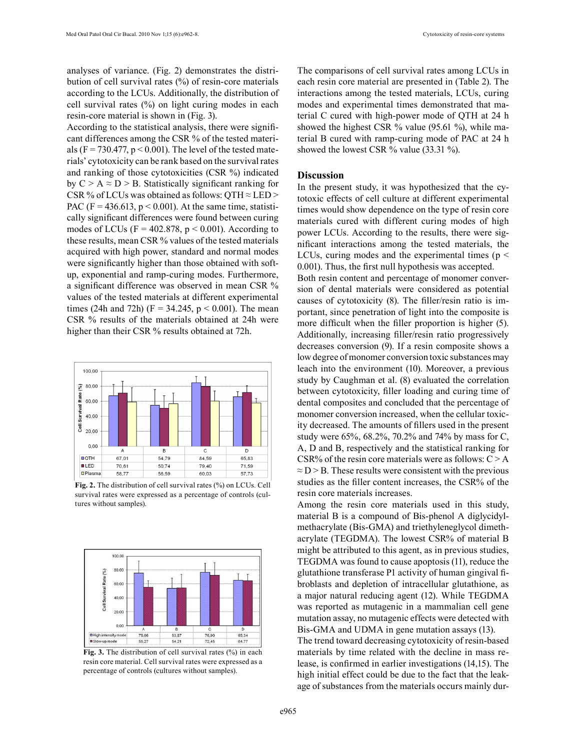analyses of variance. (Fig. 2) demonstrates the distribution of cell survival rates (%) of resin-core materials according to the LCUs. Additionally, the distribution of cell survival rates (%) on light curing modes in each resin-core material is shown in (Fig. 3).

According to the statistical analysis, there were significant differences among the CSR % of the tested materials (F = 730.477,  $p < 0.001$ ). The level of the tested materials' cytotoxicity can be rank based on the survival rates and ranking of those cytotoxicities (CSR %) indicated by  $C > A \approx D > B$ . Statistically significant ranking for CSR % of LCUs was obtained as follows: QTH  $\approx$  LED > PAC (F =  $436.613$ , p < 0.001). At the same time, statistically significant differences were found between curing modes of LCUs ( $F = 402.878$ ,  $p < 0.001$ ). According to these results, mean CSR % values of the tested materials acquired with high power, standard and normal modes were significantly higher than those obtained with softup, exponential and ramp-curing modes. Furthermore, a significant difference was observed in mean CSR % values of the tested materials at different experimental times (24h and 72h) ( $F = 34.245$ ,  $p < 0.001$ ). The mean CSR % results of the materials obtained at 24h were higher than their CSR % results obtained at 72h.



**Fig. 2.** The distribution of cell survival rates (%) on LCUs. Cell survival rates were expressed as a percentage of controls (cultures without samples).



Fig. 3. The distribution of cell survival rates (%) in each resin core material. Cell survival rates were expressed as a percentage of controls (cultures without samples).

The comparisons of cell survival rates among LCUs in each resin core material are presented in (Table 2). The interactions among the tested materials, LCUs, curing modes and experimental times demonstrated that material C cured with high-power mode of QTH at 24 h showed the highest CSR % value (95.61 %), while material B cured with ramp-curing mode of PAC at 24 h showed the lowest CSR % value (33.31 %).

### **Discussion**

In the present study, it was hypothesized that the cytotoxic effects of cell culture at different experimental times would show dependence on the type of resin core materials cured with different curing modes of high power LCUs. According to the results, there were significant interactions among the tested materials, the LCUs, curing modes and the experimental times ( $p <$ 0.001). Thus, the first null hypothesis was accepted.

Both resin content and percentage of monomer conversion of dental materials were considered as potential causes of cytotoxicity (8). The filler/resin ratio is important, since penetration of light into the composite is more difficult when the filler proportion is higher (5). Additionally, increasing filler/resin ratio progressively decreases conversion (9). If a resin composite shows a low degree of monomer conversion toxic substances may leach into the environment (10). Moreover, a previous study by Caughman et al. (8) evaluated the correlation between cytotoxicity, filler loading and curing time of dental composites and concluded that the percentage of monomer conversion increased, when the cellular toxicity decreased. The amounts of fillers used in the present study were 65%, 68.2%, 70.2% and 74% by mass for C, A, D and B, respectively and the statistical ranking for CSR% of the resin core materials were as follows:  $C > A$  $\approx$  D > B. These results were consistent with the previous studies as the filler content increases, the CSR% of the resin core materials increases.

Among the resin core materials used in this study, material B is a compound of Bis-phenol A diglycidylmethacrylate (Bis-GMA) and triethyleneglycol dimethacrylate (TEGDMA). The lowest CSR% of material B might be attributed to this agent, as in previous studies, TEGDMA was found to cause apoptosis (11), reduce the glutathione transferase P1 activity of human gingival fibroblasts and depletion of intracellular glutathione, as a major natural reducing agent (12). While TEGDMA was reported as mutagenic in a mammalian cell gene mutation assay, no mutagenic effects were detected with Bis-GMA and UDMA in gene mutation assays (13).

The trend toward decreasing cytotoxicity of resin-based materials by time related with the decline in mass release, is confirmed in earlier investigations (14,15). The high initial effect could be due to the fact that the leakage of substances from the materials occurs mainly dur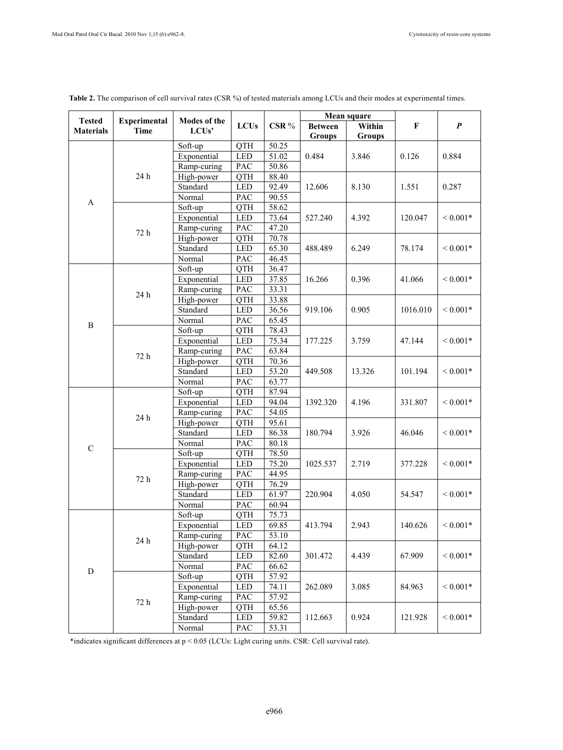$\mathbf{r}$ 

| <b>Tested</b><br><b>Experimental</b> |      | Modes of the              |             |                    | Mean square    |                |                   |                              |
|--------------------------------------|------|---------------------------|-------------|--------------------|----------------|----------------|-------------------|------------------------------|
| <b>Materials</b>                     | Time | LCU <sub>s</sub> '        | <b>LCUs</b> | CSR%               | <b>Between</b> | Within         | F                 | $\boldsymbol{P}$             |
|                                      |      |                           |             |                    | Groups         | <b>Groups</b>  |                   |                              |
|                                      |      | Soft-up                   | QTH         | 50.25              |                |                | 0.126             | 0.884                        |
|                                      |      | Exponential               | <b>LED</b>  | $\overline{51.02}$ | 0.484          | 3.846          |                   |                              |
|                                      |      | Ramp-curing               | PAC         | 50.86              |                |                |                   |                              |
|                                      | 24 h | High-power                | QTH         | 88.40              | 12.606         | 8.130          | 1.551             | 0.287                        |
|                                      |      | Standard                  | <b>LED</b>  | 92.49              |                |                |                   |                              |
|                                      |      | Normal                    | PAC         | 90.55              |                |                |                   |                              |
| A                                    | 72 h | Soft-up                   | <b>QTH</b>  | 58.62              | 527.240        | 4.392          | 120.047           | ${}< 0.001*$                 |
|                                      |      | Exponential               | <b>LED</b>  | 73.64              |                |                |                   |                              |
|                                      |      | Ramp-curing               | PAC         | 47.20              |                |                |                   |                              |
|                                      |      | High-power                | QTH         | 70.78              |                |                |                   |                              |
|                                      |      | Standard                  | <b>LED</b>  | 65.30              | 488.489        | 6.249          | 78.174            | ${}< 0.001*$                 |
|                                      |      | Normal                    | PAC         | 46.45              |                |                |                   |                              |
|                                      |      | Soft-up                   | <b>QTH</b>  | 36.47              |                | 0.396          | 41.066            | ${}< 0.001*$                 |
|                                      |      | Exponential               | LED         | 37.85              | 16.266         |                |                   |                              |
|                                      |      | Ramp-curing               | PAC         | 33.31              |                |                |                   |                              |
|                                      | 24 h | High-power                | QTH         | 33.88              | 919.106        | 0.905          | 1016.010          | ${}< 0.001*$                 |
|                                      |      | Standard                  | <b>LED</b>  | 36.56              |                |                |                   |                              |
|                                      |      | Normal                    | PAC         | 65.45              |                |                |                   |                              |
| B                                    |      | Soft-up                   | QTH         | 78.43              | 177.225        | 3.759          | 47.144            | ${}< 0.001*$                 |
|                                      |      | Exponential               | LED         | 75.34              |                |                |                   |                              |
|                                      | 72 h | Ramp-curing               | PAC         | 63.84              |                |                |                   |                              |
|                                      |      | High-power                | <b>QTH</b>  | 70.36              | 449.508        | 13.326         | 101.194           | ${}< 0.001*$                 |
|                                      |      | Standard                  | <b>LED</b>  | 53.20              |                |                |                   |                              |
|                                      |      | Normal                    | PAC         | 63.77              |                |                |                   |                              |
| $\mathbf C$                          |      | Soft-up                   | QTH         | 87.94              | 1392.320       | 4.196          | 331.807           | ${}< 0.001*$                 |
|                                      | 24 h | Exponential               | <b>LED</b>  | 94.04              |                |                |                   |                              |
|                                      |      | Ramp-curing               | PAC         | 54.05              |                |                |                   |                              |
|                                      |      | High-power                | QTH         | 95.61              |                |                |                   |                              |
|                                      |      | Standard                  | LED         | 86.38              | 180.794        | 3.926          | 46.046            | ${}< 0.001*$                 |
|                                      |      | Normal                    | PAC         | 80.18              |                |                |                   |                              |
|                                      | 72 h | Soft-up                   | QTH         | 78.50              | 1025.537       | 2.719          | 377.228           | ${}< 0.001*$                 |
|                                      |      | Exponential               | <b>LED</b>  | 75.20              |                |                |                   |                              |
|                                      |      | Ramp-curing               | PAC         | 44.95              |                |                |                   |                              |
|                                      |      | High-power                | QTH         | 76.29              | 220.904        | 4.050          | 54.547            | ${}< 0.001*$                 |
|                                      |      | Standard                  | LED         | 61.97              |                |                |                   |                              |
|                                      |      | Normal                    | PAC         | 60.94              |                |                |                   |                              |
| D                                    | 24 h | Soft-up                   | QTH         | 75.73              | 413.794        | 2.943          | 140.626           | ${}< 0.001*$                 |
|                                      |      | Exponential               | LED         | 69.85              |                |                |                   |                              |
|                                      |      | Ramp-curing               | PAC         | 53.10              |                |                |                   |                              |
|                                      |      | High-power                | QTH         | 64.12              |                | 4.439          | 67.909            | ${}< 0.001*$                 |
|                                      |      | Standard                  | LED         | 82.60              | 301.472        |                |                   |                              |
|                                      |      | Normal                    | PAC         | 66.62              |                |                |                   |                              |
|                                      | 72 h | Soft-up                   | <b>QTH</b>  | 57.92              |                | 3.085<br>0.924 | 84.963<br>121.928 | ${}< 0.001*$<br>${}< 0.001*$ |
|                                      |      | Exponential               | LED         | 74.11              | 262.089        |                |                   |                              |
|                                      |      |                           | PAC         | 57.92              |                |                |                   |                              |
|                                      |      | Ramp-curing<br>High-power |             |                    |                |                |                   |                              |
|                                      |      | Standard                  | QTH<br>LED  | 65.56<br>59.82     | 112.663        |                |                   |                              |
|                                      |      |                           |             |                    |                |                |                   |                              |
|                                      |      | Normal                    | PAC         | 53.31              |                |                |                   |                              |

**Table 2.** The comparison of cell survival rates (CSR %) of tested materials among LCUs and their modes at experimental times.

\*indicates significant differences at p < 0.05 (LCUs: Light curing units. CSR: Cell survival rate).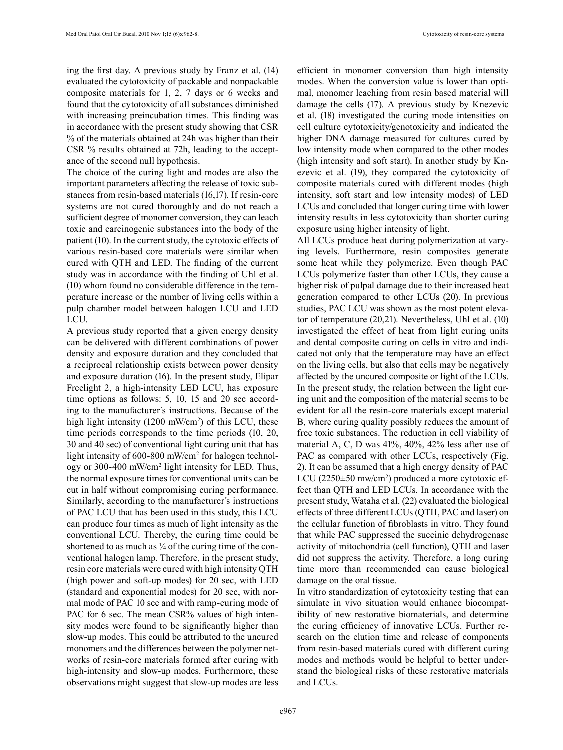ing the first day. A previous study by Franz et al. (14) evaluated the cytotoxicity of packable and nonpackable composite materials for 1, 2, 7 days or 6 weeks and found that the cytotoxicity of all substances diminished with increasing preincubation times. This finding was in accordance with the present study showing that CSR % of the materials obtained at 24h was higher than their CSR % results obtained at 72h, leading to the acceptance of the second null hypothesis.

The choice of the curing light and modes are also the important parameters affecting the release of toxic substances from resin-based materials (16,17). If resin-core systems are not cured thoroughly and do not reach a sufficient degree of monomer conversion, they can leach toxic and carcinogenic substances into the body of the patient (10). In the current study, the cytotoxic effects of various resin-based core materials were similar when cured with QTH and LED. The finding of the current study was in accordance with the finding of Uhl et al. (10) whom found no considerable difference in the temperature increase or the number of living cells within a pulp chamber model between halogen LCU and LED LCU.

A previous study reported that a given energy density can be delivered with different combinations of power density and exposure duration and they concluded that a reciprocal relationship exists between power density and exposure duration (16). In the present study, Elipar Freelight 2, a high-intensity LED LCU, has exposure time options as follows: 5, 10, 15 and 20 sec according to the manufacturer´s instructions. Because of the high light intensity (1200 mW/cm<sup>2</sup>) of this LCU, these time periods corresponds to the time periods (10, 20, 30 and 40 sec) of conventional light curing unit that has light intensity of 600-800 mW/cm2 for halogen technology or 300-400 mW/cm<sup>2</sup> light intensity for LED. Thus, the normal exposure times for conventional units can be cut in half without compromising curing performance. Similarly, according to the manufacturer´s instructions of PAC LCU that has been used in this study, this LCU can produce four times as much of light intensity as the conventional LCU. Thereby, the curing time could be shortened to as much as  $\frac{1}{4}$  of the curing time of the conventional halogen lamp. Therefore, in the present study, resin core materials were cured with high intensity QTH (high power and soft-up modes) for 20 sec, with LED (standard and exponential modes) for 20 sec, with normal mode of PAC 10 sec and with ramp-curing mode of PAC for 6 sec. The mean CSR% values of high intensity modes were found to be significantly higher than slow-up modes. This could be attributed to the uncured monomers and the differences between the polymer networks of resin-core materials formed after curing with high-intensity and slow-up modes. Furthermore, these observations might suggest that slow-up modes are less

efficient in monomer conversion than high intensity modes. When the conversion value is lower than optimal, monomer leaching from resin based material will damage the cells (17). A previous study by Knezevic et al. (18) investigated the curing mode intensities on cell culture cytotoxicity/genotoxicity and indicated the higher DNA damage measured for cultures cured by low intensity mode when compared to the other modes (high intensity and soft start). In another study by Knezevic et al. (19), they compared the cytotoxicity of composite materials cured with different modes (high intensity, soft start and low intensity modes) of LED LCUs and concluded that longer curing time with lower intensity results in less cytotoxicity than shorter curing exposure using higher intensity of light.

All LCUs produce heat during polymerization at varying levels. Furthermore, resin composites generate some heat while they polymerize. Even though PAC LCUs polymerize faster than other LCUs, they cause a higher risk of pulpal damage due to their increased heat generation compared to other LCUs (20). In previous studies, PAC LCU was shown as the most potent elevator of temperature (20,21). Nevertheless, Uhl et al. (10) investigated the effect of heat from light curing units and dental composite curing on cells in vitro and indicated not only that the temperature may have an effect on the living cells, but also that cells may be negatively affected by the uncured composite or light of the LCUs. In the present study, the relation between the light curing unit and the composition of the material seems to be evident for all the resin-core materials except material B, where curing quality possibly reduces the amount of free toxic substances. The reduction in cell viability of material A, C, D was 41%, 40%, 42% less after use of PAC as compared with other LCUs, respectively (Fig. 2). It can be assumed that a high energy density of PAC LCU (2250±50 mw/cm<sup>2</sup>) produced a more cytotoxic effect than QTH and LED LCUs. In accordance with the present study, Wataha et al. (22) evaluated the biological effects of three different LCUs (QTH, PAC and laser) on the cellular function of fibroblasts in vitro. They found that while PAC suppressed the succinic dehydrogenase activity of mitochondria (cell function), QTH and laser did not suppress the activity. Therefore, a long curing time more than recommended can cause biological damage on the oral tissue.

In vitro standardization of cytotoxicity testing that can simulate in vivo situation would enhance biocompatibility of new restorative biomaterials, and determine the curing efficiency of innovative LCUs. Further research on the elution time and release of components from resin-based materials cured with different curing modes and methods would be helpful to better understand the biological risks of these restorative materials and LCUs.